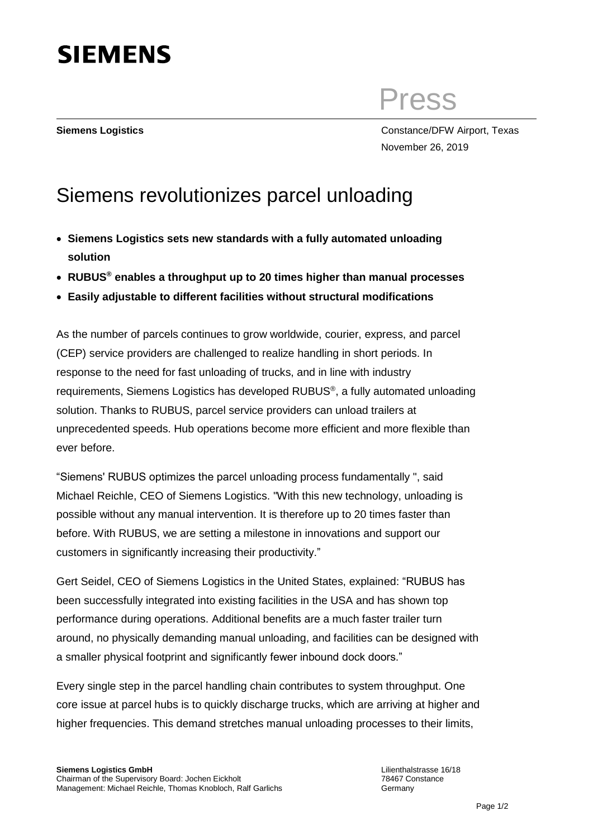

Press

**Siemens Logistics** Constance/DFW Airport, Texas November 26, 2019

## Siemens revolutionizes parcel unloading

- **Siemens Logistics sets new standards with a fully automated unloading solution**
- **RUBUS® enables a throughput up to 20 times higher than manual processes**
- **Easily adjustable to different facilities without structural modifications**

As the number of parcels continues to grow worldwide, courier, express, and parcel (CEP) service providers are challenged to realize handling in short periods. In response to the need for fast unloading of trucks, and in line with industry requirements, Siemens Logistics has developed RUBUS<sup>®</sup>, a fully automated unloading solution. Thanks to RUBUS, parcel service providers can unload trailers at unprecedented speeds. Hub operations become more efficient and more flexible than ever before.

"Siemens' RUBUS optimizes the parcel unloading process fundamentally ", said Michael Reichle, CEO of Siemens Logistics. "With this new technology, unloading is possible without any manual intervention. It is therefore up to 20 times faster than before. With RUBUS, we are setting a milestone in innovations and support our customers in significantly increasing their productivity."

Gert Seidel, CEO of Siemens Logistics in the United States, explained: "RUBUS has been successfully integrated into existing facilities in the USA and has shown top performance during operations. Additional benefits are a much faster trailer turn around, no physically demanding manual unloading, and facilities can be designed with a smaller physical footprint and significantly fewer inbound dock doors."

Every single step in the parcel handling chain contributes to system throughput. One core issue at parcel hubs is to quickly discharge trucks, which are arriving at higher and higher frequencies. This demand stretches manual unloading processes to their limits,